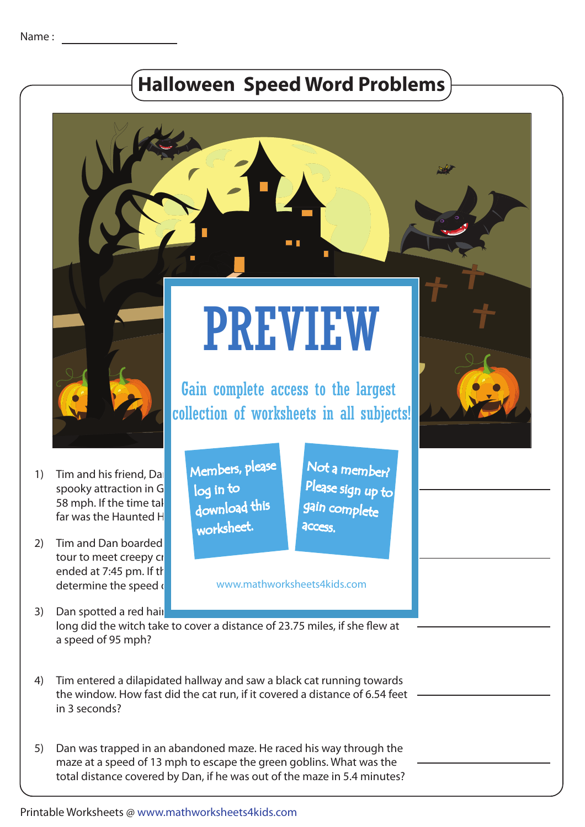## **Halloween Speed Word Problems**

PREVIEW

Gain complete access to the largest



Tim and his friend, Da spooky attraction in G 58 mph. If the time tal far was the Haunted H 1)

2) Tim and Dan boarded the scary hayride wagon, that took the scary has took the scary has took them on a took tour to meet creepy cr ended at 7:45 pm. If the determine the speed  $\frac{1}{1}$ 

Members, please Not a member? Please sign up to

**access** 

gain complete

www.mathworksheets4kids.com

3) Dan spotted a red hair different witch in the broomsticked with the broomstick. long did the witch take to cover a distance of 23.75 miles, if she flew at a speed of 95 mph?

 download this worksheet.

log in to

- Tim entered a dilapidated hallway and saw a black cat running towards the window. How fast did the cat run, if it covered a distance of 6.54 feet in 3 seconds? 4)
- Dan was trapped in an abandoned maze. He raced his way through the maze at a speed of 13 mph to escape the green goblins. What was the total distance covered by Dan, if he was out of the maze in 5.4 minutes? 5)